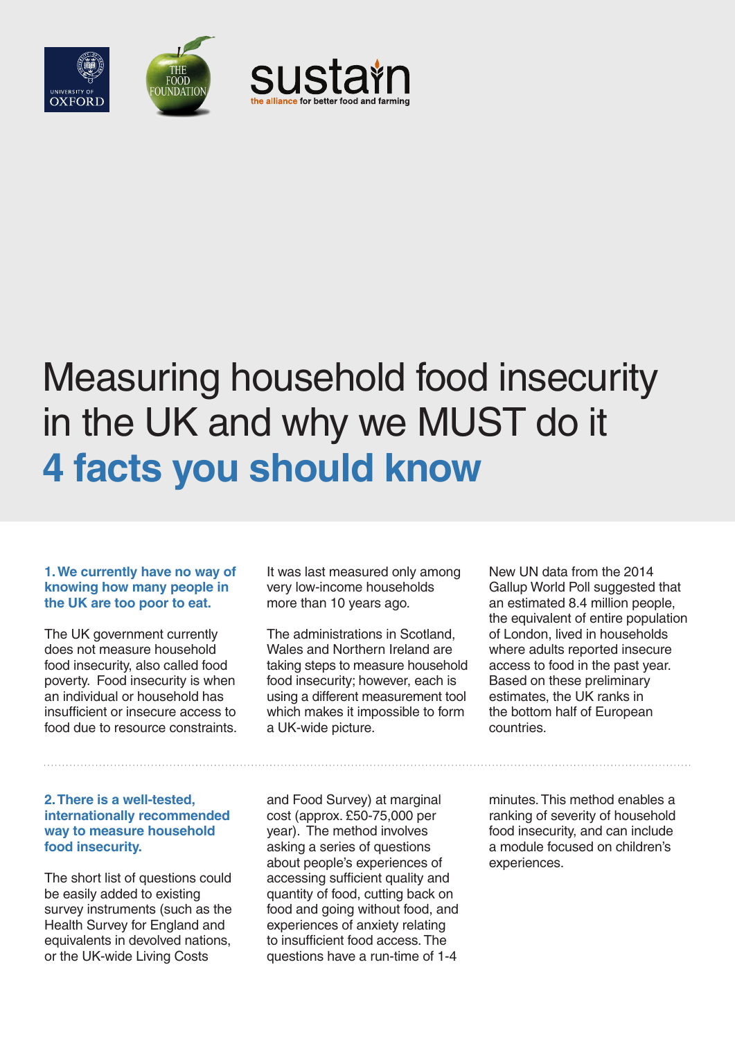

# Measuring household food insecurity in the UK and why we MUST do it **4 facts you should know**

### **1. We currently have no way of knowing how many people in the UK are too poor to eat.**

The UK government currently does not measure household food insecurity, also called food poverty. Food insecurity is when an individual or household has insufficient or insecure access to food due to resource constraints.

#### **2. There is a well-tested, internationally recommended way to measure household food insecurity.**

The short list of questions could be easily added to existing survey instruments (such as the Health Survey for England and equivalents in devolved nations, or the UK-wide Living Costs

It was last measured only among very low-income households more than 10 years ago.

The administrations in Scotland, Wales and Northern Ireland are taking steps to measure household food insecurity; however, each is using a different measurement tool which makes it impossible to form a UK-wide picture.

and Food Survey) at marginal cost (approx. £50-75,000 per year). The method involves asking a series of questions about people's experiences of accessing sufficient quality and quantity of food, cutting back on food and going without food, and experiences of anxiety relating to insufficient food access. The questions have a run-time of 1-4

New UN data from the 2014 Gallup World Poll suggested that an estimated 8.4 million people, the equivalent of entire population of London, lived in households where adults reported insecure access to food in the past year. Based on these preliminary estimates, the UK ranks in the bottom half of European countries.

minutes. This method enables a ranking of severity of household food insecurity, and can include a module focused on children's experiences.